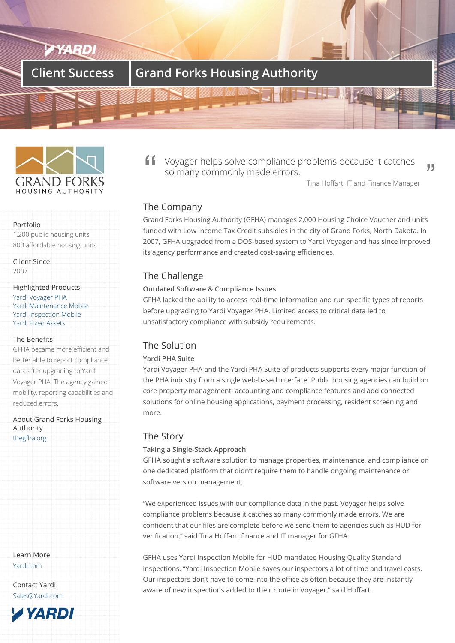# **Client Success | Grand Forks Housing Authority**



# Portfolio

1,200 public housing units 800 affordable housing units

Client Since 2007

### Highlighted Products

Yardi Voyager PHA Yardi Maintenance Mobile Yardi Inspection Mobile Yardi Fixed Assets

### [The Benefits](/products/voyager-for-public-housing/)

[GFHA became more eff](/products/yardi-inspections)[icie](/products/yardi-maintenance)nt and [better able to repo](/products/yardi-fixed-assets)rt compliance data after upgrading to Yardi Voyager PHA. The agency gained mobility, reporting capabilities and reduced errors.

About Grand Forks Housing Authority thegfha.org

Learn More Yardi.com

Contact Yardi Sales@Yardi.com

**TYARDI** 

Voyager helps solve compliance problems because it catches so many commonly made errors.

Tina Hoffart, IT and Finance Manager

99

# The Company

Grand Forks Housing Authority (GFHA) manages 2,000 Housing Choice Voucher and units funded with Low Income Tax Credit subsidies in the city of Grand Forks, North Dakota. In 2007, GFHA upgraded from a DOS-based system to Yardi Voyager and has since improved its agency performance and created cost-saving efficiencies.

# The Challenge

# **Outdated Software & Compliance Issues**

GFHA lacked the ability to access real-time information and run specific types of reports before upgrading to Yardi Voyager PHA. Limited access to critical data led to unsatisfactory compliance with subsidy requirements.

# The Solution

## **Yardi PHA Suite**

Yardi Voyager PHA and the Yardi PHA Suite of products supports every major function of the PHA industry from a single web-based interface. Public housing agencies can build on core property management, accounting and compliance features and add connected solutions for online housing applications, payment processing, resident screening and more.

# The Story

## **Taking a Single-Stack Approach**

GFHA sought a software solution to manage properties, maintenance, and compliance on one dedicated platform that didn't require them to handle ongoing maintenance or software version management.

"We experienced issues with our compliance data in the past. Voyager helps solve compliance problems because it catches so many commonly made errors. We are confident that our files are complete before we send them to agencies such as HUD for verification," said Tina Hoffart, finance and IT manager for GFHA.

GFHA uses Yardi Inspection Mobile for HUD mandated Housing Quality Standard inspections. "Yardi Inspection Mobile saves our inspectors a lot of time and travel costs. Our inspectors don't have to come into the office as often because they are instantly aware of new inspections added to their route in Voyager," said Hoffart.